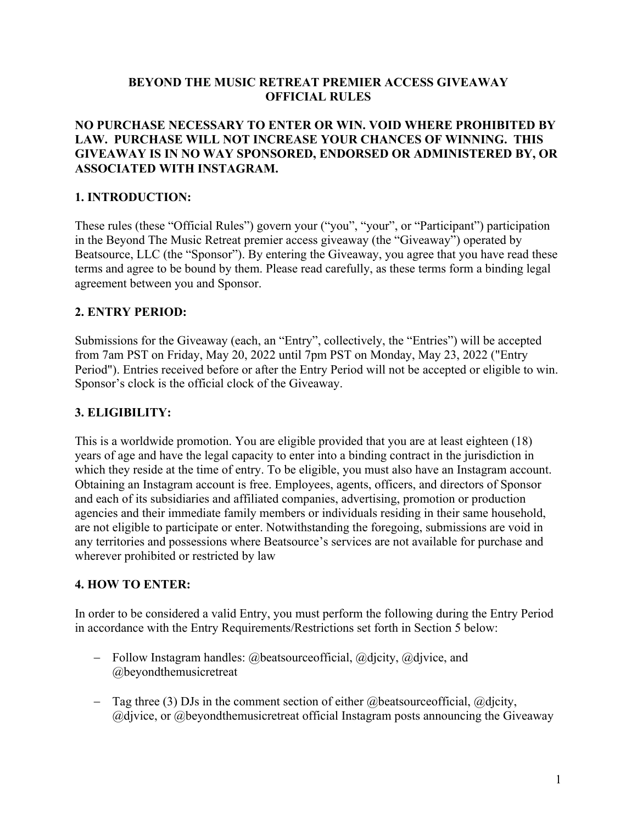### **BEYOND THE MUSIC RETREAT PREMIER ACCESS GIVEAWAY OFFICIAL RULES**

### **NO PURCHASE NECESSARY TO ENTER OR WIN. VOID WHERE PROHIBITED BY LAW. PURCHASE WILL NOT INCREASE YOUR CHANCES OF WINNING. THIS GIVEAWAY IS IN NO WAY SPONSORED, ENDORSED OR ADMINISTERED BY, OR ASSOCIATED WITH INSTAGRAM.**

## **1. INTRODUCTION:**

These rules (these "Official Rules") govern your ("you", "your", or "Participant") participation in the Beyond The Music Retreat premier access giveaway (the "Giveaway") operated by Beatsource, LLC (the "Sponsor"). By entering the Giveaway, you agree that you have read these terms and agree to be bound by them. Please read carefully, as these terms form a binding legal agreement between you and Sponsor.

## **2. ENTRY PERIOD:**

Submissions for the Giveaway (each, an "Entry", collectively, the "Entries") will be accepted from 7am PST on Friday, May 20, 2022 until 7pm PST on Monday, May 23, 2022 ("Entry Period"). Entries received before or after the Entry Period will not be accepted or eligible to win. Sponsor's clock is the official clock of the Giveaway.

## **3. ELIGIBILITY:**

This is a worldwide promotion. You are eligible provided that you are at least eighteen (18) years of age and have the legal capacity to enter into a binding contract in the jurisdiction in which they reside at the time of entry. To be eligible, you must also have an Instagram account. Obtaining an Instagram account is free. Employees, agents, officers, and directors of Sponsor and each of its subsidiaries and affiliated companies, advertising, promotion or production agencies and their immediate family members or individuals residing in their same household, are not eligible to participate or enter. Notwithstanding the foregoing, submissions are void in any territories and possessions where Beatsource's services are not available for purchase and wherever prohibited or restricted by law

## **4. HOW TO ENTER:**

In order to be considered a valid Entry, you must perform the following during the Entry Period in accordance with the Entry Requirements/Restrictions set forth in Section 5 below:

- Follow Instagram handles: @beatsourceofficial, @djcity, @djvice, and @beyondthemusicretreat
- Tag three (3) DJs in the comment section of either  $@$  beatsource of ficial,  $@$  dicity, @djvice, or @beyondthemusicretreat official Instagram posts announcing the Giveaway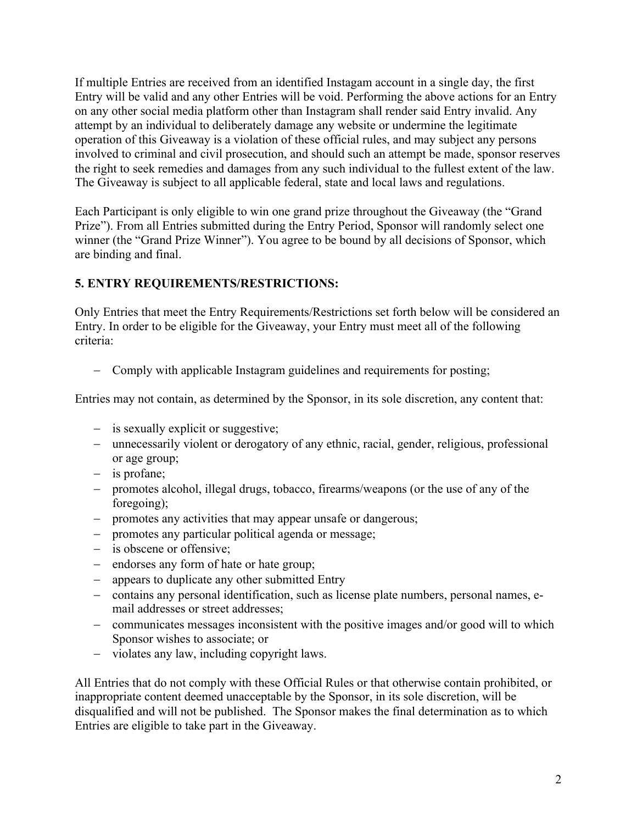If multiple Entries are received from an identified Instagam account in a single day, the first Entry will be valid and any other Entries will be void. Performing the above actions for an Entry on any other social media platform other than Instagram shall render said Entry invalid. Any attempt by an individual to deliberately damage any website or undermine the legitimate operation of this Giveaway is a violation of these official rules, and may subject any persons involved to criminal and civil prosecution, and should such an attempt be made, sponsor reserves the right to seek remedies and damages from any such individual to the fullest extent of the law. The Giveaway is subject to all applicable federal, state and local laws and regulations.

Each Participant is only eligible to win one grand prize throughout the Giveaway (the "Grand Prize"). From all Entries submitted during the Entry Period, Sponsor will randomly select one winner (the "Grand Prize Winner"). You agree to be bound by all decisions of Sponsor, which are binding and final.

# **5. ENTRY REQUIREMENTS/RESTRICTIONS:**

Only Entries that meet the Entry Requirements/Restrictions set forth below will be considered an Entry. In order to be eligible for the Giveaway, your Entry must meet all of the following criteria:

- Comply with applicable Instagram guidelines and requirements for posting;

Entries may not contain, as determined by the Sponsor, in its sole discretion, any content that:

- is sexually explicit or suggestive;
- unnecessarily violent or derogatory of any ethnic, racial, gender, religious, professional or age group;
- is profane;
- promotes alcohol, illegal drugs, tobacco, firearms/weapons (or the use of any of the foregoing);
- promotes any activities that may appear unsafe or dangerous;
- promotes any particular political agenda or message;
- is obscene or offensive;
- endorses any form of hate or hate group;
- appears to duplicate any other submitted Entry
- contains any personal identification, such as license plate numbers, personal names, email addresses or street addresses;
- communicates messages inconsistent with the positive images and/or good will to which Sponsor wishes to associate; or
- violates any law, including copyright laws.

All Entries that do not comply with these Official Rules or that otherwise contain prohibited, or inappropriate content deemed unacceptable by the Sponsor, in its sole discretion, will be disqualified and will not be published. The Sponsor makes the final determination as to which Entries are eligible to take part in the Giveaway.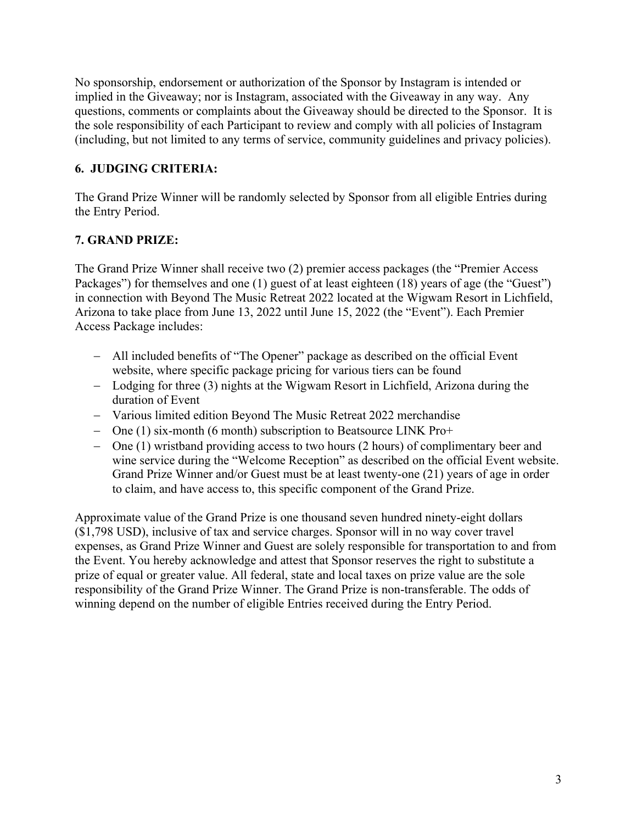No sponsorship, endorsement or authorization of the Sponsor by Instagram is intended or implied in the Giveaway; nor is Instagram, associated with the Giveaway in any way. Any questions, comments or complaints about the Giveaway should be directed to the Sponsor. It is the sole responsibility of each Participant to review and comply with all policies of Instagram (including, but not limited to any terms of service, community guidelines and privacy policies).

# **6. JUDGING CRITERIA:**

The Grand Prize Winner will be randomly selected by Sponsor from all eligible Entries during the Entry Period.

# **7. GRAND PRIZE:**

The Grand Prize Winner shall receive two (2) premier access packages (the "Premier Access Packages") for themselves and one (1) guest of at least eighteen (18) years of age (the "Guest") in connection with Beyond The Music Retreat 2022 located at the Wigwam Resort in Lichfield, Arizona to take place from June 13, 2022 until June 15, 2022 (the "Event"). Each Premier Access Package includes:

- All included benefits of "The Opener" package as described on the official Event website, where specific package pricing for various tiers can be found
- Lodging for three (3) nights at the Wigwam Resort in Lichfield, Arizona during the duration of Event
- Various limited edition Beyond The Music Retreat 2022 merchandise
- One (1) six-month (6 month) subscription to Beatsource LINK Pro+
- One (1) wristband providing access to two hours (2 hours) of complimentary beer and wine service during the "Welcome Reception" as described on the official Event website. Grand Prize Winner and/or Guest must be at least twenty-one (21) years of age in order to claim, and have access to, this specific component of the Grand Prize.

Approximate value of the Grand Prize is one thousand seven hundred ninety-eight dollars (\$1,798 USD), inclusive of tax and service charges. Sponsor will in no way cover travel expenses, as Grand Prize Winner and Guest are solely responsible for transportation to and from the Event. You hereby acknowledge and attest that Sponsor reserves the right to substitute a prize of equal or greater value. All federal, state and local taxes on prize value are the sole responsibility of the Grand Prize Winner. The Grand Prize is non-transferable. The odds of winning depend on the number of eligible Entries received during the Entry Period.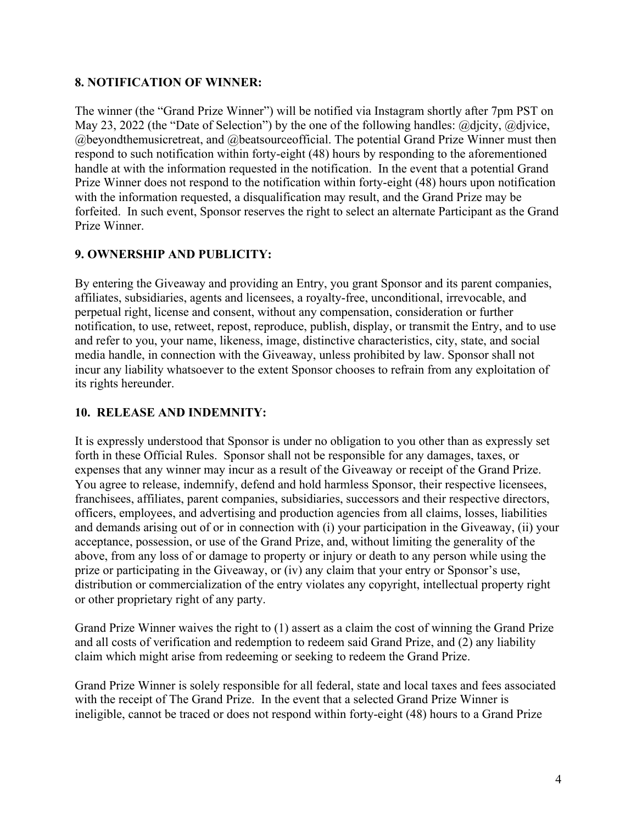## **8. NOTIFICATION OF WINNER:**

The winner (the "Grand Prize Winner") will be notified via Instagram shortly after 7pm PST on May 23, 2022 (the "Date of Selection") by the one of the following handles: @djcity, @djvice, @beyondthemusicretreat, and @beatsourceofficial. The potential Grand Prize Winner must then respond to such notification within forty-eight (48) hours by responding to the aforementioned handle at with the information requested in the notification. In the event that a potential Grand Prize Winner does not respond to the notification within forty-eight (48) hours upon notification with the information requested, a disqualification may result, and the Grand Prize may be forfeited. In such event, Sponsor reserves the right to select an alternate Participant as the Grand Prize Winner.

## **9. OWNERSHIP AND PUBLICITY:**

By entering the Giveaway and providing an Entry, you grant Sponsor and its parent companies, affiliates, subsidiaries, agents and licensees, a royalty-free, unconditional, irrevocable, and perpetual right, license and consent, without any compensation, consideration or further notification, to use, retweet, repost, reproduce, publish, display, or transmit the Entry, and to use and refer to you, your name, likeness, image, distinctive characteristics, city, state, and social media handle, in connection with the Giveaway, unless prohibited by law. Sponsor shall not incur any liability whatsoever to the extent Sponsor chooses to refrain from any exploitation of its rights hereunder.

### **10. RELEASE AND INDEMNITY:**

It is expressly understood that Sponsor is under no obligation to you other than as expressly set forth in these Official Rules. Sponsor shall not be responsible for any damages, taxes, or expenses that any winner may incur as a result of the Giveaway or receipt of the Grand Prize. You agree to release, indemnify, defend and hold harmless Sponsor, their respective licensees, franchisees, affiliates, parent companies, subsidiaries, successors and their respective directors, officers, employees, and advertising and production agencies from all claims, losses, liabilities and demands arising out of or in connection with (i) your participation in the Giveaway, (ii) your acceptance, possession, or use of the Grand Prize, and, without limiting the generality of the above, from any loss of or damage to property or injury or death to any person while using the prize or participating in the Giveaway, or (iv) any claim that your entry or Sponsor's use, distribution or commercialization of the entry violates any copyright, intellectual property right or other proprietary right of any party.

Grand Prize Winner waives the right to (1) assert as a claim the cost of winning the Grand Prize and all costs of verification and redemption to redeem said Grand Prize, and (2) any liability claim which might arise from redeeming or seeking to redeem the Grand Prize.

Grand Prize Winner is solely responsible for all federal, state and local taxes and fees associated with the receipt of The Grand Prize. In the event that a selected Grand Prize Winner is ineligible, cannot be traced or does not respond within forty-eight (48) hours to a Grand Prize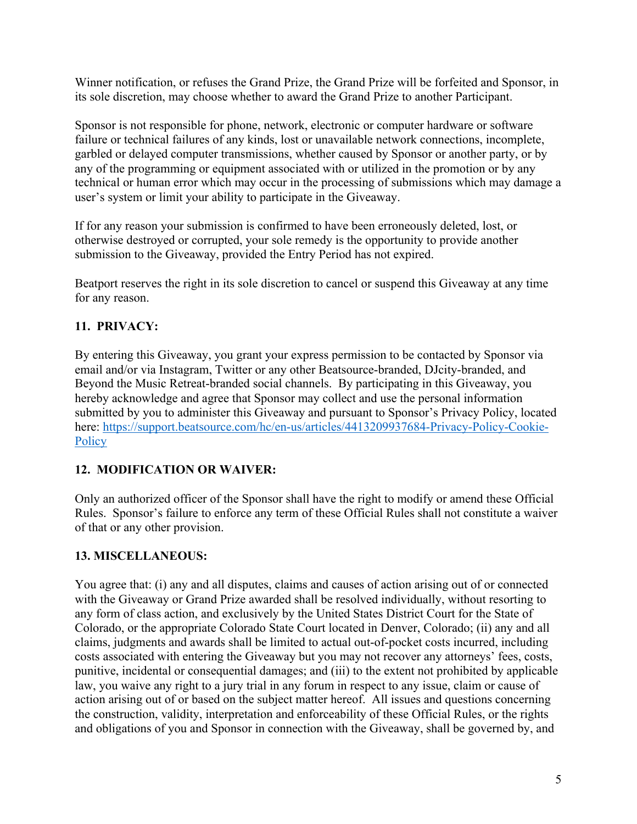Winner notification, or refuses the Grand Prize, the Grand Prize will be forfeited and Sponsor, in its sole discretion, may choose whether to award the Grand Prize to another Participant.

Sponsor is not responsible for phone, network, electronic or computer hardware or software failure or technical failures of any kinds, lost or unavailable network connections, incomplete, garbled or delayed computer transmissions, whether caused by Sponsor or another party, or by any of the programming or equipment associated with or utilized in the promotion or by any technical or human error which may occur in the processing of submissions which may damage a user's system or limit your ability to participate in the Giveaway.

If for any reason your submission is confirmed to have been erroneously deleted, lost, or otherwise destroyed or corrupted, your sole remedy is the opportunity to provide another submission to the Giveaway, provided the Entry Period has not expired.

Beatport reserves the right in its sole discretion to cancel or suspend this Giveaway at any time for any reason.

# **11. PRIVACY:**

By entering this Giveaway, you grant your express permission to be contacted by Sponsor via email and/or via Instagram, Twitter or any other Beatsource-branded, DJcity-branded, and Beyond the Music Retreat-branded social channels. By participating in this Giveaway, you hereby acknowledge and agree that Sponsor may collect and use the personal information submitted by you to administer this Giveaway and pursuant to Sponsor's Privacy Policy, located here: https://support.beatsource.com/hc/en-us/articles/4413209937684-Privacy-Policy-Cookie-**Policy** 

# **12. MODIFICATION OR WAIVER:**

Only an authorized officer of the Sponsor shall have the right to modify or amend these Official Rules. Sponsor's failure to enforce any term of these Official Rules shall not constitute a waiver of that or any other provision.

# **13. MISCELLANEOUS:**

You agree that: (i) any and all disputes, claims and causes of action arising out of or connected with the Giveaway or Grand Prize awarded shall be resolved individually, without resorting to any form of class action, and exclusively by the United States District Court for the State of Colorado, or the appropriate Colorado State Court located in Denver, Colorado; (ii) any and all claims, judgments and awards shall be limited to actual out-of-pocket costs incurred, including costs associated with entering the Giveaway but you may not recover any attorneys' fees, costs, punitive, incidental or consequential damages; and (iii) to the extent not prohibited by applicable law, you waive any right to a jury trial in any forum in respect to any issue, claim or cause of action arising out of or based on the subject matter hereof. All issues and questions concerning the construction, validity, interpretation and enforceability of these Official Rules, or the rights and obligations of you and Sponsor in connection with the Giveaway, shall be governed by, and